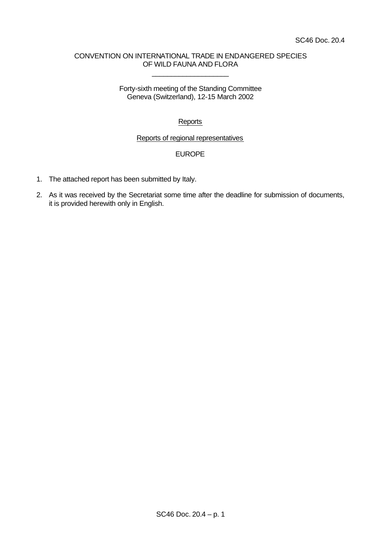# CONVENTION ON INTERNATIONAL TRADE IN ENDANGERED SPECIES OF WILD FAUNA AND FLORA

\_\_\_\_\_\_\_\_\_\_\_\_\_\_\_\_\_\_\_\_

# Forty-sixth meeting of the Standing Committee Geneva (Switzerland), 12-15 March 2002

# **Reports**

# Reports of regional representatives

# EUROPE

- 1. The attached report has been submitted by Italy.
- 2. As it was received by the Secretariat some time after the deadline for submission of documents, it is provided herewith only in English.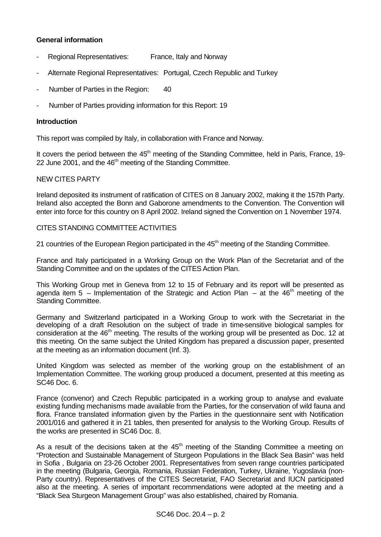# **General information**

- Regional Representatives: France, Italy and Norway
- Alternate Regional Representatives: Portugal, Czech Republic and Turkey
- Number of Parties in the Region: 40
- Number of Parties providing information for this Report: 19

# **Introduction**

This report was compiled by Italy, in collaboration with France and Norway.

It covers the period between the 45<sup>th</sup> meeting of the Standing Committee, held in Paris, France, 19-22 June 2001, and the 46<sup>th</sup> meeting of the Standing Committee.

# NEW CITES PARTY

Ireland deposited its instrument of ratification of CITES on 8 January 2002, making it the 157th Party. Ireland also accepted the Bonn and Gaborone amendments to the Convention. The Convention will enter into force for this country on 8 April 2002. Ireland signed the Convention on 1 November 1974.

#### CITES STANDING COMMITTEE ACTIVITIES

21 countries of the European Region participated in the 45<sup>th</sup> meeting of the Standing Committee.

France and Italy participated in a Working Group on the Work Plan of the Secretariat and of the Standing Committee and on the updates of the CITES Action Plan.

This Working Group met in Geneva from 12 to 15 of February and its report will be presented as agenda item 5 – Implementation of the Strategic and Action Plan – at the  $46<sup>th</sup>$  meeting of the Standing Committee.

Germany and Switzerland participated in a Working Group to work with the Secretariat in the developing of a draft Resolution on the subject of trade in time-sensitive biological samples for consideration at the 46<sup>th</sup> meeting. The results of the working group will be presented as Doc. 12 at this meeting. On the same subject the United Kingdom has prepared a discussion paper, presented at the meeting as an information document (Inf. 3).

United Kingdom was selected as member of the working group on the establishment of an Implementation Committee. The working group produced a document, presented at this meeting as SC46 Doc. 6.

France (convenor) and Czech Republic participated in a working group to analyse and evaluate existing funding mechanisms made available from the Parties, for the conservation of wild fauna and flora. France translated information given by the Parties in the questionnaire sent with Notification 2001/016 and gathered it in 21 tables, then presented for analysis to the Working Group. Results of the works are presented in SC46 Doc. 8.

As a result of the decisions taken at the  $45<sup>th</sup>$  meeting of the Standing Committee a meeting on "Protection and Sustainable Management of Sturgeon Populations in the Black Sea Basin" was held in Sofia , Bulgaria on 23-26 October 2001. Representatives from seven range countries participated in the meeting (Bulgaria, Georgia, Romania, Russian Federation, Turkey, Ukraine, Yugoslavia (non-Party country). Representatives of the CITES Secretariat, FAO Secretariat and IUCN participated also at the meeting. A series of important recommendations were adopted at the meeting and a "Black Sea Sturgeon Management Group" was also established, chaired by Romania.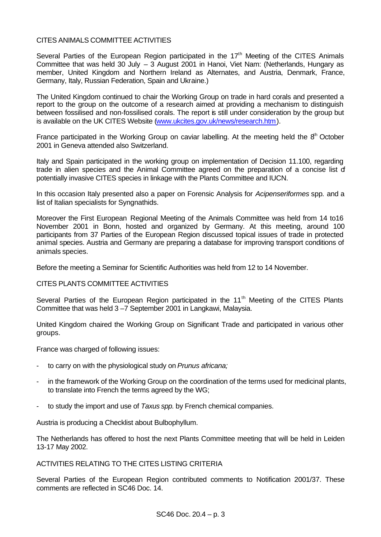# CITES ANIMALS COMMITTEE ACTIVITIES

Several Parties of the European Region participated in the  $17<sup>th</sup>$  Meeting of the CITES Animals Committee that was held 30 July  $-3$  August 2001 in Hanoi, Viet Nam: (Netherlands, Hungary as member, United Kingdom and Northern Ireland as Alternates, and Austria, Denmark, France, Germany, Italy, Russian Federation, Spain and Ukraine.)

The United Kingdom continued to chair the Working Group on trade in hard corals and presented a report to the group on the outcome of a research aimed at providing a mechanism to distinguish between fossilised and non-fossilised corals. The report is still under consideration by the group but is available on the UK CITES Website (www.ukcites.gov.uk/news/research.htm).

France participated in the Working Group on caviar labelling. At the meeting held the  $8<sup>th</sup>$  October 2001 in Geneva attended also Switzerland.

Italy and Spain participated in the working group on implementation of Decision 11.100, regarding trade in alien species and the Animal Committee agreed on the preparation of a concise list of potentially invasive CITES species in linkage with the Plants Committee and IUCN.

In this occasion Italy presented also a paper on Forensic Analysis for *Acipenseriformes* spp*.* and a list of Italian specialists for Syngnathids.

Moreover the First European Regional Meeting of the Animals Committee was held from 14 to16 November 2001 in Bonn, hosted and organized by Germany. At this meeting, around 100 participants from 37 Parties of the European Region discussed topical issues of trade in protected animal species. Austria and Germany are preparing a database for improving transport conditions of animals species.

Before the meeting a Seminar for Scientific Authorities was held from 12 to 14 November.

# CITES PLANTS COMMITTEE ACTIVITIES

Several Parties of the European Region participated in the 11<sup>th</sup> Meeting of the CITES Plants Committee that was held 3 –7 September 2001 in Langkawi, Malaysia.

United Kingdom chaired the Working Group on Significant Trade and participated in various other groups.

France was charged of following issues:

- to carry on with the physiological study on *Prunus africana;*
- in the framework of the Working Group on the coordination of the terms used for medicinal plants, to translate into French the terms agreed by the WG;
- to study the import and use of *Taxus spp.* by French chemical companies.

Austria is producing a Checklist about Bulbophyllum.

The Netherlands has offered to host the next Plants Committee meeting that will be held in Leiden 13-17 May 2002.

ACTIVITIES RELATING TO THE CITES LISTING CRITERIA

Several Parties of the European Region contributed comments to Notification 2001/37. These comments are reflected in SC46 Doc. 14.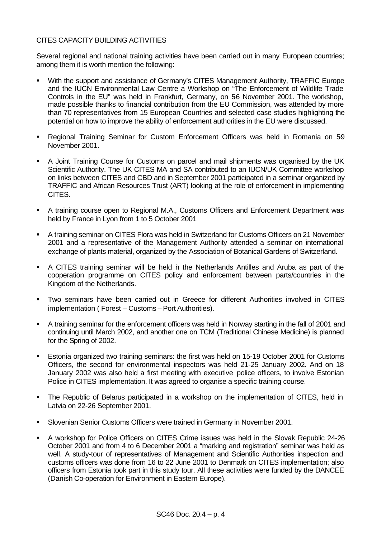# CITES CAPACITY BUILDING ACTIVITIES

Several regional and national training activities have been carried out in many European countries; among them it is worth mention the following:

- With the support and assistance of Germany's CITES Management Authority, TRAFFIC Europe and the IUCN Environmental Law Centre a Workshop on "The Enforcement of Wildlife Trade Controls in the EU" was held in Frankfurt, Germany, on 56 November 2001. The workshop, made possible thanks to financial contribution from the EU Commission, was attended by more than 70 representatives from 15 European Countries and selected case studies highlighting the potential on how to improve the ability of enforcement authorities in the EU were discussed.
- **Regional Training Seminar for Custom Enforcement Officers was held in Romania on 59** November 2001.
- A Joint Training Course for Customs on parcel and mail shipments was organised by the UK Scientific Authority. The UK CITES MA and SA contributed to an IUCN/UK Committee workshop on links between CITES and CBD and in September 2001 participated in a seminar organized by TRAFFIC and African Resources Trust (ART) looking at the role of enforcement in implementing CITES.
- A training course open to Regional M.A., Customs Officers and Enforcement Department was held by France in Lyon from 1 to 5 October 2001
- **A training seminar on CITES Flora was held in Switzerland for Customs Officers on 21 November** 2001 and a representative of the Management Authority attended a seminar on international exchange of plants material, organized by the Association of Botanical Gardens of Switzerland.
- **A CITES training seminar will be held in the Netherlands Antilles and Aruba as part of the** cooperation programme on CITES policy and enforcement between parts/countries in the Kingdom of the Netherlands.
- **Two seminars have been carried out in Greece for different Authorities involved in CITES** implementation ( Forest – Customs – Port Authorities).
- A training seminar for the enforcement officers was held in Norway starting in the fall of 2001 and continuing until March 2002, and another one on TCM (Traditional Chinese Medicine) is planned for the Spring of 2002.
- ß Estonia organized two training seminars: the first was held on 15-19 October 2001 for Customs Officers, the second for environmental inspectors was held 21-25 January 2002. And on 18 January 2002 was also held a first meeting with executive police officers, to involve Estonian Police in CITES implementation. It was agreed to organise a specific training course.
- The Republic of Belarus participated in a workshop on the implementation of CITES, held in Latvia on 22-26 September 2001.
- **Slovenian Senior Customs Officers were trained in Germany in November 2001.**
- A workshop for Police Officers on CITES Crime issues was held in the Slovak Republic 24-26 October 2001 and from 4 to 6 December 2001 a "marking and registration" seminar was held as well. A study-tour of representatives of Management and Scientific Authorities inspection and customs officers was done from 16 to 22 June 2001 to Denmark on CITES implementation; also officers from Estonia took part in this study tour. All these activities were funded by the DANCEE (Danish Co-operation for Environment in Eastern Europe).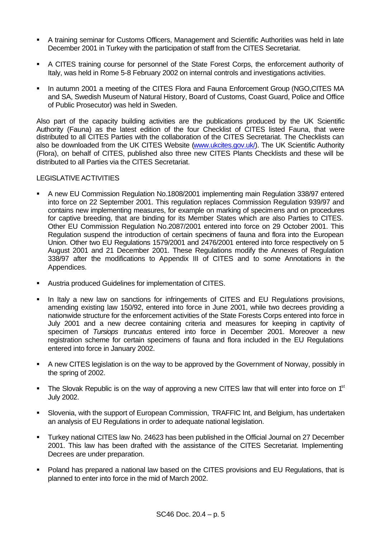- **A** training seminar for Customs Officers, Management and Scientific Authorities was held in late December 2001 in Turkey with the participation of staff from the CITES Secretariat.
- **A CITES training course for personnel of the State Forest Corps, the enforcement authority of** Italy, was held in Rome 5-8 February 2002 on internal controls and investigations activities.
- In autumn 2001 a meeting of the CITES Flora and Fauna Enforcement Group (NGO,CITES MA and SA, Swedish Museum of Natural History, Board of Customs, Coast Guard, Police and Office of Public Prosecutor) was held in Sweden.

Also part of the capacity building activities are the publications produced by the UK Scientific Authority (Fauna) as the latest edition of the four Checklist of CITES listed Fauna, that were distributed to all CITES Parties with the collaboration of the CITES Secretariat. The Checklists can also be downloaded from the UK CITES Website (www.ukcites.gov.uk). The UK Scientific Authority (Flora), on behalf of CITES, published also three new CITES Plants Checklists and these will be distributed to all Parties via the CITES Secretariat.

#### LEGISLATIVE ACTIVITIES

- **A new EU Commission Regulation No.1808/2001 implementing main Regulation 338/97 entered** into force on 22 September 2001. This regulation replaces Commission Regulation 939/97 and contains new implementing measures, for example on marking of specimens and on procedures for captive breeding, that are binding for its Member States which are also Parties to CITES. Other EU Commission Regulation No.2087/2001 entered into force on 29 October 2001. This Regulation suspend the introduction of certain specimens of fauna and flora into the European Union. Other two EU Regulations 1579/2001 and 2476/2001 entered into force respectively on 5 August 2001 and 21 December 2001. These Regulations modify the Annexes of Regulation 338/97 after the modifications to Appendix III of CITES and to some Annotations in the Appendices.
- **Austria produced Guidelines for implementation of CITES.**
- In Italy a new law on sanctions for infringements of CITES and EU Regulations provisions, amending existing law 150/92, entered into force in June 2001, while two decrees providing a nationwide structure for the enforcement activities of the State Forests Corps entered into force in July 2001 and a new decree containing criteria and measures for keeping in captivity of specimen of *Tursiops truncatus* entered into force in December 2001. Moreover a new registration scheme for certain specimens of fauna and flora included in the EU Regulations entered into force in January 2002.
- **A** new CITES legislation is on the way to be approved by the Government of Norway, possibly in the spring of 2002.
- **The Slovak Republic is on the way of approving a new CITES law that will enter into force on 1st** July 2002.
- ß Slovenia, with the support of European Commission, TRAFFIC Int, and Belgium, has undertaken an analysis of EU Regulations in order to adequate national legislation.
- ß Turkey national CITES law No. 24623 has been published in the Official Journal on 27 December 2001. This law has been drafted with the assistance of the CITES Secretariat. Implementing Decrees are under preparation.
- Poland has prepared a national law based on the CITES provisions and EU Regulations, that is planned to enter into force in the mid of March 2002.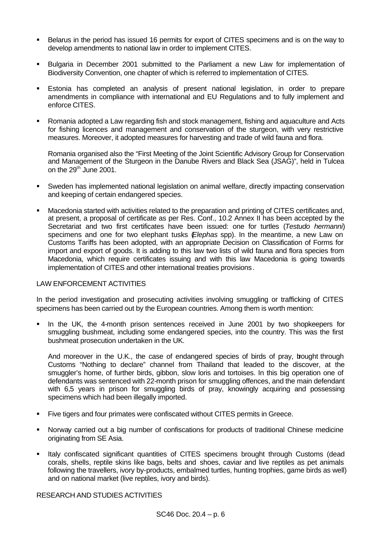- ß Belarus in the period has issued 16 permits for export of CITES specimens and is on the way to develop amendments to national law in order to implement CITES.
- ß Bulgaria in December 2001 submitted to the Parliament a new Law for implementation of Biodiversity Convention, one chapter of which is referred to implementation of CITES.
- **Estonia has completed an analysis of present national legislation, in order to prepare** amendments in compliance with international and EU Regulations and to fully implement and enforce CITES.
- Romania adopted a Law regarding fish and stock management, fishing and aquaculture and Acts for fishing licences and management and conservation of the sturgeon, with very restrictive measures. Moreover, it adopted measures for harvesting and trade of wild fauna and flora.

Romania organised also the "First Meeting of the Joint Scientific Advisory Group for Conservation and Management of the Sturgeon in the Danube Rivers and Black Sea (JSAG)", held in Tulcea on the  $29<sup>th</sup>$  June 2001.

- ß Sweden has implemented national legislation on animal welfare, directly impacting conservation and keeping of certain endangered species.
- **Macedonia started with activities related to the preparation and printing of CITES certificates and,** at present, a proposal of certificate as per Res. Conf., 10.2 Annex II has been accepted by the Secretariat and two first certificates have been issued: one for turtles (*Testudo hermanni*) specimens and one for two elephant tusks (*Elephas* spp). In the meantime, a new Law on Customs Tariffs has been adopted, with an appropriate Decision on Classification of Forms for import and export of goods. It is adding to this law two lists of wild fauna and flora species from Macedonia, which require certificates issuing and with this law Macedonia is going towards implementation of CITES and other international treaties provisions.

# LAW ENFORCEMENT ACTIVITIES

In the period investigation and prosecuting activities involving smuggling or trafficking of CITES specimens has been carried out by the European countries. Among them is worth mention:

ß In the UK, the 4-month prison sentences received in June 2001 by two shopkeepers for smuggling bushmeat, including some endangered species, into the country. This was the first bushmeat prosecution undertaken in the UK.

And moreover in the U.K., the case of endangered species of birds of pray, brought through Customs "Nothing to declare" channel from Thailand that leaded to the discover, at the smuggler's home, of further birds, gibbon, slow loris and tortoises. In this big operation one of defendants was sentenced with 22-month prison for smuggling offences, and the main defendant with 6,5 years in prison for smuggling birds of pray, knowingly acquiring and possessing specimens which had been illegally imported.

- **Five tigers and four primates were confiscated without CITES permits in Greece.**
- Norway carried out a big number of confiscations for products of traditional Chinese medicine originating from SE Asia.
- **Ifaly confiscated significant quantities of CITES specimens brought through Customs (dead** corals, shells, reptile skins like bags, belts and shoes, caviar and live reptiles as pet animals following the travellers, ivory by-products, embalmed turtles, hunting trophies, game birds as well) and on national market (live reptiles, ivory and birds).

# RESEARCH AND STUDIES ACTIVITIES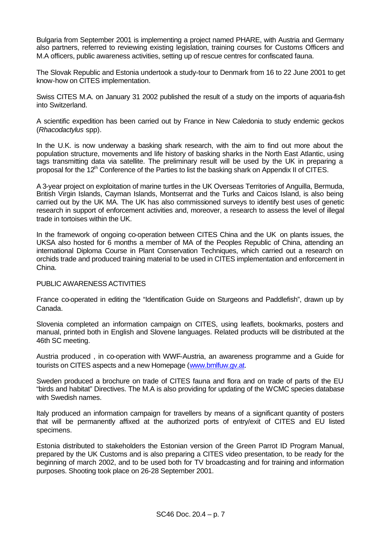Bulgaria from September 2001 is implementing a project named PHARE, with Austria and Germany also partners, referred to reviewing existing legislation, training courses for Customs Officers and M.A officers, public awareness activities, setting up of rescue centres for confiscated fauna.

The Slovak Republic and Estonia undertook a study-tour to Denmark from 16 to 22 June 2001 to get know-how on CITES implementation.

Swiss CITES M.A. on January 31 2002 published the result of a study on the imports of aquaria-fish into Switzerland.

A scientific expedition has been carried out by France in New Caledonia to study endemic geckos (*Rhacodactylus* spp).

In the U.K. is now underway a basking shark research, with the aim to find out more about the population structure, movements and life history of basking sharks in the North East Atlantic, using tags transmitting data via satellite. The preliminary result will be used by the UK in preparing a proposal for the  $12<sup>th</sup>$  Conference of the Parties to list the basking shark on Appendix II of CITES.

A 3-year project on exploitation of marine turtles in the UK Overseas Territories of Anguilla, Bermuda, British Virgin Islands, Cayman Islands, Montserrat and the Turks and Caicos Island, is also being carried out by the UK MA. The UK has also commissioned surveys to identify best uses of genetic research in support of enforcement activities and, moreover, a research to assess the level of illegal trade in tortoises within the UK.

In the framework of ongoing co-operation between CITES China and the UK on plants issues, the UKSA also hosted for 6 months a member of MA of the Peoples Republic of China, attending an international Diploma Course in Plant Conservation Techniques, which carried out a research on orchids trade and produced training material to be used in CITES implementation and enforcement in China.

# PUBLIC AWARENESS ACTIVITIES

France co-operated in editing the "Identification Guide on Sturgeons and Paddlefish", drawn up by Canada.

Slovenia completed an information campaign on CITES, using leaflets, bookmarks, posters and manual, printed both in English and Slovene languages. Related products will be distributed at the 46th SC meeting.

Austria produced , in co-operation with WWF-Austria, an awareness programme and a Guide for tourists on CITES aspects and a new Homepage (www.bmlfuw.gv.at.

Sweden produced a brochure on trade of CITES fauna and flora and on trade of parts of the EU "birds and habitat" Directives. The M.A is also providing for updating of the WCMC species database with Swedish names.

Italy produced an information campaign for travellers by means of a significant quantity of posters that will be permanently affixed at the authorized ports of entry/exit of CITES and EU listed specimens.

Estonia distributed to stakeholders the Estonian version of the Green Parrot ID Program Manual, prepared by the UK Customs and is also preparing a CITES video presentation, to be ready for the beginning of march 2002, and to be used both for TV broadcasting and for training and information purposes. Shooting took place on 26-28 September 2001.